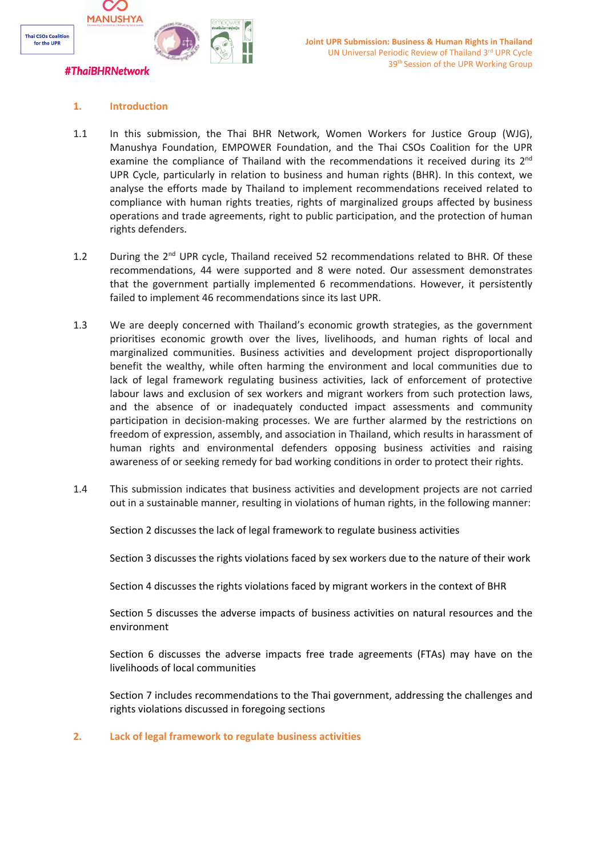

## **1. Introduction**

- 1.1 In this submission, the Thai BHR Network, Women Workers for Justice Group (WJG), Manushya Foundation, EMPOWER Foundation, and the Thai CSOs Coalition for the UPR examine the compliance of Thailand with the recommendations it received during its 2<sup>nd</sup> UPR Cycle, particularly in relation to business and human rights (BHR). In this context, we analyse the efforts made by Thailand to implement recommendations received related to compliance with human rights treaties, rights of marginalized groups affected by business operations and trade agreements, right to public participation, and the protection of human rights defenders.
- 1.2 During the 2<sup>nd</sup> UPR cycle, Thailand received 52 recommendations related to BHR. Of these recommendations, 44 were supported and 8 were noted. Our assessment demonstrates that the government partially implemented 6 recommendations. However, it persistently failed to implement 46 recommendations since its last UPR.
- 1.3 We are deeply concerned with Thailand'<sup>s</sup> economic growth strategies, as the government prioritises economic growth over the lives, livelihoods, and human rights of local and marginalized communities. Business activities and development project disproportionally benefit the wealthy, while often harming the environment and local communities due to lack of legal framework regulating business activities, lack of enforcement of protective labour laws and exclusion of sex workers and migrant workers from such protection laws, and the absence of or inadequately conducted impact assessments and community participation in decision-making processes. We are further alarmed by the restrictions on freedom of expression, assembly, and association in Thailand, which results in harassment of human rights and environmental defenders opposing business activities and raising awareness of or seeking remedy for bad working conditions in order to protect their rights.
- 1.4 This submission indicates that business activities and development projects are not carried out in <sup>a</sup> sustainable manner, resulting in violations of human rights, in the following manner:

Section 2 discusses the lack of legal framework to regulate business activities

Section 3 discusses the rights violations faced by sex workers due to the nature of their work

Section 4 discusses the rights violations faced by migrant workers in the context of BHR

Section 5 discusses the adverse impacts of business activities on natural resources and the environment

Section 6 discusses the adverse impacts free trade agreements (FTAs) may have on the livelihoods of local communities

Section 7 includes recommendations to the Thai government, addressing the challenges and rights violations discussed in foregoing sections

## **2. Lack of legal framework to regulate business activities**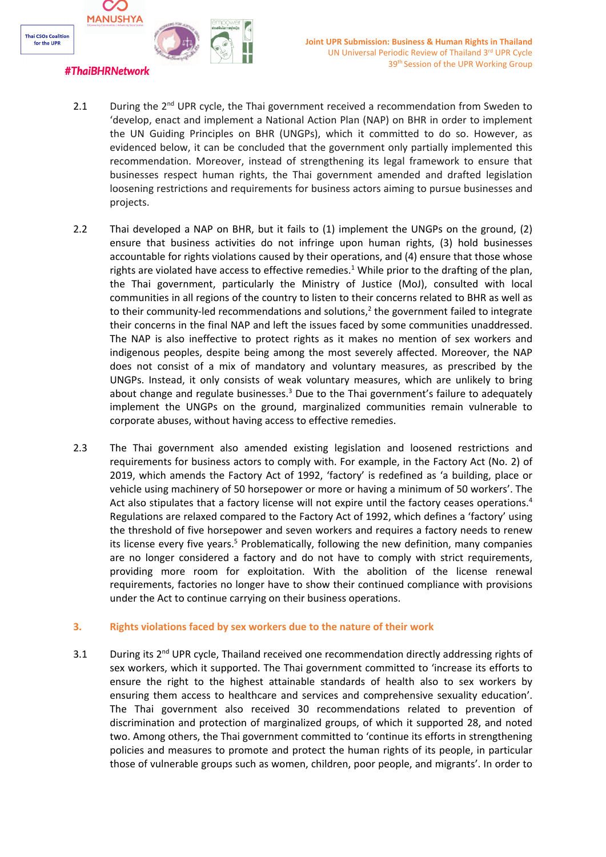

# 2.1 During the 2<sup>nd</sup> UPR cycle, the Thai government received a recommendation from Sweden to 'develop, enact and implement <sup>a</sup> National Action Plan (NAP) on BHR in order to implement the UN Guiding Principles on BHR (UNGPs), which it committed to do so. However, as evidenced below, it can be concluded that the government only partially implemented this recommendation. Moreover, instead of strengthening its legal framework to ensure that businesses respect human rights, the Thai government amended and drafted legislation loosening restrictions and requirements for business actors aiming to pursue businesses and projects.

- 2.2 Thai developed <sup>a</sup> NAP on BHR, but it fails to (1) implement the UNGPs on the ground, (2) ensure that business activities do not infringe upon human rights, (3) hold businesses accountable for rights violations caused by their operations, and (4) ensure that those whose rights are violated have access to effective remedies. <sup>1</sup> While prior to the drafting of the plan, the Thai government, particularly the Ministry of Justice (MoJ), consulted with local communities in all regions of the country to listen to their concerns related to BHR as well as to their community-led recommendations and solutions,<sup>2</sup> the government failed to integrate their concerns in the final NAP and left the issues faced by some communities unaddressed. The NAP is also ineffective to protect rights as it makes no mention of sex workers and indigenous peoples, despite being among the most severely affected. Moreover, the NAP does not consist of <sup>a</sup> mix of mandatory and voluntary measures, as prescribed by the UNGPs. Instead, it only consists of weak voluntary measures, which are unlikely to bring about change and regulate businesses.<sup>3</sup> Due to the Thai government's failure to adequately implement the UNGPs on the ground, marginalized communities remain vulnerable to corporate abuses, without having access to effective remedies.
- 2.3 The Thai government also amended existing legislation and loosened restrictions and requirements for business actors to comply with. For example, in the Factory Act (No. 2) of 2019, which amends the Factory Act of 1992, 'factory' is redefined as '<sup>a</sup> building, place or vehicle using machinery of 50 horsepower or more or having <sup>a</sup> minimum of 50 workers'. The Act also stipulates that <sup>a</sup> factory license will not expire until the factory ceases operations. 4 Regulations are relaxed compared to the Factory Act of 1992, which defines <sup>a</sup> 'factory' using the threshold of five horsepower and seven workers and requires <sup>a</sup> factory needs to renew its license every five years.<sup>5</sup> Problematically, following the new definition, many companies are no longer considered <sup>a</sup> factory and do not have to comply with strict requirements, providing more room for exploitation. With the abolition of the license renewal requirements, factories no longer have to show their continued compliance with provisions under the Act to continue carrying on their business operations.

## **3. Rights violations faced by sex workers due to the nature of their work**

3.1 During its 2<sup>nd</sup> UPR cycle, Thailand received one recommendation directly addressing rights of sex workers, which it supported. The Thai government committed to 'increase its efforts to ensure the right to the highest attainable standards of health also to sex workers by ensuring them access to healthcare and services and comprehensive sexuality education'. The Thai government also received 30 recommendations related to prevention of discrimination and protection of marginalized groups, of which it supported 28, and noted two. Among others, the Thai government committed to 'continue its efforts in strengthening policies and measures to promote and protect the human rights of its people, in particular those of vulnerable groups such as women, children, poor people, and migrants'. In order to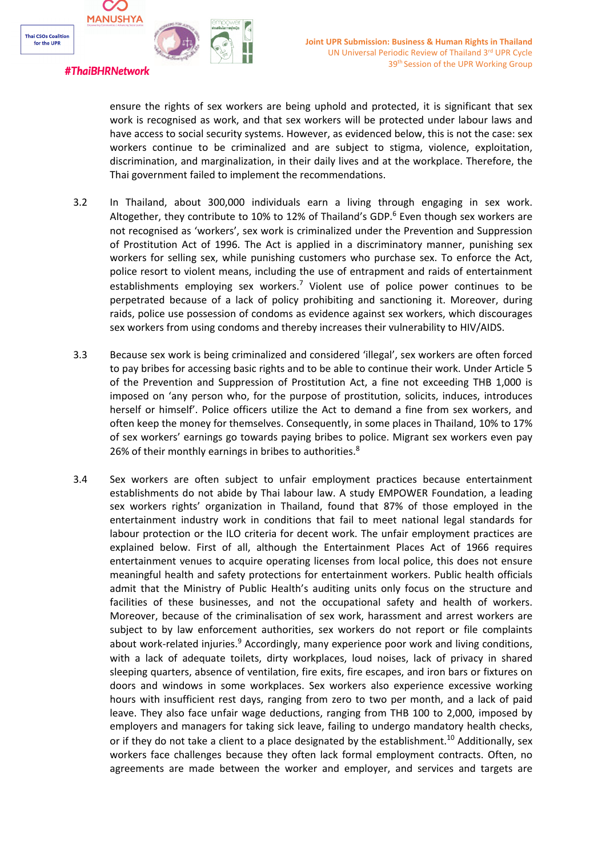

# ensure the rights of sex workers are being uphold and protected, it is significant that sex work is recognised as work, and that sex workers will be protected under labour laws and have access to social security systems. However, as evidenced below, this is not the case: sex workers continue to be criminalized and are subject to stigma, violence, exploitation, discrimination, and marginalization, in their daily lives and at the workplace. Therefore, the Thai government failed to implement the recommendations.

- 3.2 In Thailand, about 300,000 individuals earn <sup>a</sup> living through engaging in sex work. Altogether, they contribute to 10% to 12% of Thailand's GDP.<sup>6</sup> Even though sex workers are not recognised as 'workers', sex work is criminalized under the Prevention and Suppression of Prostitution Act of 1996. The Act is applied in <sup>a</sup> discriminatory manner, punishing sex workers for selling sex, while punishing customers who purchase sex. To enforce the Act, police resort to violent means, including the use of entrapment and raids of entertainment establishments employing sex workers.<sup>7</sup> Violent use of police power continues to be perpetrated because of <sup>a</sup> lack of policy prohibiting and sanctioning it. Moreover, during raids, police use possession of condoms as evidence against sex workers, which discourages sex workers from using condoms and thereby increases their vulnerability to HIV/AIDS.
- 3.3 Because sex work is being criminalized and considered 'illegal', sex workers are often forced to pay bribes for accessing basic rights and to be able to continue their work. Under Article 5 of the Prevention and Suppression of Prostitution Act, <sup>a</sup> fine not exceeding THB 1,000 is imposed on 'any person who, for the purpose of prostitution, solicits, induces, introduces herself or himself'. Police officers utilize the Act to demand <sup>a</sup> fine from sex workers, and often keep the money for themselves. Consequently, in some places in Thailand, 10% to 17% of sex workers' earnings go towards paying bribes to police. Migrant sex workers even pay 26% of their monthly earnings in bribes to authorities. ${}^{8}$
- 3.4 Sex workers are often subject to unfair employment practices because entertainment establishments do not abide by Thai labour law. A study EMPOWER Foundation, <sup>a</sup> leading sex workers rights' organization in Thailand, found that 87% of those employed in the entertainment industry work in conditions that fail to meet national legal standards for labour protection or the ILO criteria for decent work. The unfair employment practices are explained below. First of all, although the Entertainment Places Act of 1966 requires entertainment venues to acquire operating licenses from local police, this does not ensure meaningful health and safety protections for entertainment workers. Public health officials admit that the Ministry of Public Health'<sup>s</sup> auditing units only focus on the structure and facilities of these businesses, and not the occupational safety and health of workers. Moreover, because of the criminalisation of sex work, harassment and arrest workers are subject to by law enforcement authorities, sex workers do not report or file complaints about work-related injuries.<sup>9</sup> Accordingly, many experience poor work and living conditions, with <sup>a</sup> lack of adequate toilets, dirty workplaces, loud noises, lack of privacy in shared sleeping quarters, absence of ventilation, fire exits, fire escapes, and iron bars or fixtures on doors and windows in some workplaces. Sex workers also experience excessive working hours with insufficient rest days, ranging from zero to two per month, and <sup>a</sup> lack of paid leave. They also face unfair wage deductions, ranging from THB 100 to 2,000, imposed by employers and managers for taking sick leave, failing to undergo mandatory health checks, or if they do not take a client to a place designated by the establishment.<sup>10</sup> Additionally, sex workers face challenges because they often lack formal employment contracts. Often, no agreements are made between the worker and employer, and services and targets are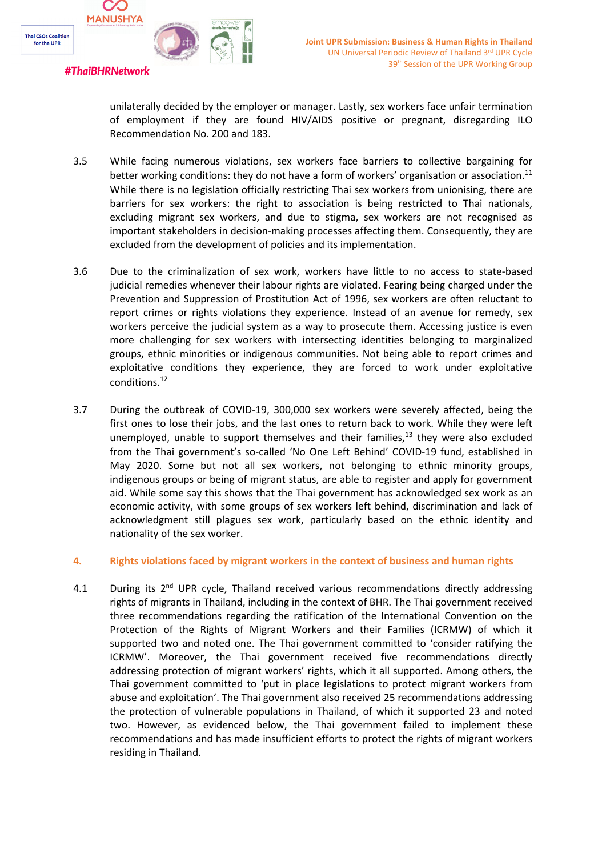

unilaterally decided by the employer or manager. Lastly, sex workers face unfair termination of employment if they are found HIV/AIDS positive or pregnant, disregarding ILO Recommendation No. 200 and 183.

- 3.5 While facing numerous violations, sex workers face barriers to collective bargaining for better working conditions: they do not have a form of workers' organisation or association. $^{11}$ While there is no legislation officially restricting Thai sex workers from unionising, there are barriers for sex workers: the right to association is being restricted to Thai nationals, excluding migrant sex workers, and due to stigma, sex workers are not recognised as important stakeholders in decision-making processes affecting them. Consequently, they are excluded from the development of policies and its implementation.
- 3.6 Due to the criminalization of sex work, workers have little to no access to state-based judicial remedies whenever their labour rights are violated. Fearing being charged under the Prevention and Suppression of Prostitution Act of 1996, sex workers are often reluctant to report crimes or rights violations they experience. Instead of an avenue for remedy, sex workers perceive the judicial system as <sup>a</sup> way to prosecute them. Accessing justice is even more challenging for sex workers with intersecting identities belonging to marginalized groups, ethnic minorities or indigenous communities. Not being able to report crimes and exploitative conditions they experience, they are forced to work under exploitative conditions.<sup>12</sup>
- 3.7 During the outbreak of COVID-19, 300,000 sex workers were severely affected, being the first ones to lose their jobs, and the last ones to return back to work. While they were left unemployed, unable to support themselves and their families,<sup>13</sup> they were also excluded from the Thai government'<sup>s</sup> so-called 'No One Left Behind' COVID-19 fund, established in May 2020. Some but not all sex workers, not belonging to ethnic minority groups, indigenous groups or being of migrant status, are able to register and apply for government aid. While some say this shows that the Thai government has acknowledged sex work as an economic activity, with some groups of sex workers left behind, discrimination and lack of acknowledgment still plagues sex work, particularly based on the ethnic identity and nationality of the sex worker.

#### **4. Rights violations faced by migrant workers in the context of business and human rights**

4.1 During its 2<sup>nd</sup> UPR cycle, Thailand received various recommendations directly addressing rights of migrants in Thailand, including in the context of BHR. The Thai government received three recommendations regarding the ratification of the International Convention on the Protection of the Rights of Migrant Workers and their Families (ICRMW) of which it supported two and noted one. The Thai government committed to 'consider ratifying the ICRMW'. Moreover, the Thai government received five recommendations directly addressing protection of migrant workers' rights, which it all supported. Among others, the Thai government committed to 'put in place legislations to protect migrant workers from abuse and exploitation'. The Thai government also received 25 recommendations addressing the protection of vulnerable populations in Thailand, of which it supported 23 and noted two. However, as evidenced below, the Thai government failed to implement these recommendations and has made insufficient efforts to protect the rights of migrant workers residing in Thailand.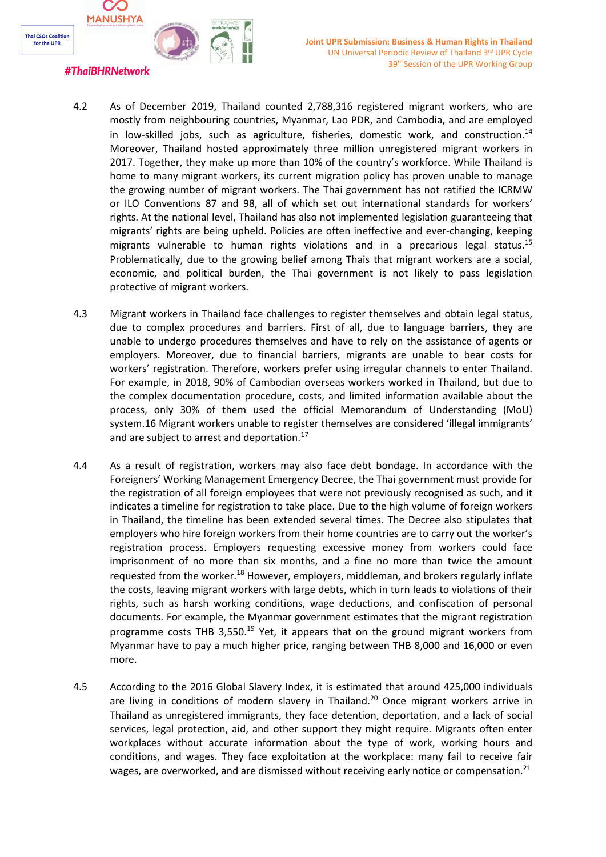

## **#ThaiBHRNetwork**

- 4.2 As of December 2019, Thailand counted 2,788,316 registered migrant workers, who are mostly from neighbouring countries, Myanmar, Lao PDR, and Cambodia, and are employed in low-skilled jobs, such as agriculture, fisheries, domestic work, and construction.<sup>14</sup> Moreover, Thailand hosted approximately three million unregistered migrant workers in 2017. Together, they make up more than 10% of the country'<sup>s</sup> workforce. While Thailand is home to many migrant workers, its current migration policy has proven unable to manage the growing number of migrant workers. The Thai government has not ratified the ICRMW or ILO Conventions 87 and 98, all of which set out international standards for workers' rights. At the national level, Thailand has also not implemented legislation guaranteeing that migrants' rights are being upheld. Policies are often ineffective and ever-changing, keeping migrants vulnerable to human rights violations and in a precarious legal status.<sup>15</sup> Problematically, due to the growing belief among Thais that migrant workers are <sup>a</sup> social, economic, and political burden, the Thai government is not likely to pass legislation protective of migrant workers.
- 4.3 Migrant workers in Thailand face challenges to register themselves and obtain legal status, due to complex procedures and barriers. First of all, due to language barriers, they are unable to undergo procedures themselves and have to rely on the assistance of agents or employers. Moreover, due to financial barriers, migrants are unable to bear costs for workers' registration. Therefore, workers prefer using irregular channels to enter Thailand. For example, in 2018, 90% of Cambodian overseas workers worked in Thailand, but due to the complex documentation procedure, costs, and limited information available about the process, only 30% of them used the official Memorandum of Understanding (MoU) system.16 Migrant workers unable to register themselves are considered 'illegal immigrants' and are subject to arrest and deportation.<sup>17</sup>
- 4.4 As <sup>a</sup> result of registration, workers may also face debt bondage. In accordance with the Foreigners' Working Management Emergency Decree, the Thai government must provide for the registration of all foreign employees that were not previously recognised as such, and it indicates <sup>a</sup> timeline for registration to take place. Due to the high volume of foreign workers in Thailand, the timeline has been extended several times. The Decree also stipulates that employers who hire foreign workers from their home countries are to carry out the worker'<sup>s</sup> registration process. Employers requesting excessive money from workers could face imprisonment of no more than six months, and <sup>a</sup> fine no more than twice the amount requested from the worker.<sup>18</sup> However, employers, middleman, and brokers regularly inflate the costs, leaving migrant workers with large debts, which in turn leads to violations of their rights, such as harsh working conditions, wage deductions, and confiscation of personal documents. For example, the Myanmar government estimates that the migrant registration programme costs THB 3,550.<sup>19</sup> Yet, it appears that on the ground migrant workers from Myanmar have to pay <sup>a</sup> much higher price, ranging between THB 8,000 and 16,000 or even more.
- 4.5 According to the 2016 Global Slavery Index, it is estimated that around 425,000 individuals are living in conditions of modern slavery in Thailand.<sup>20</sup> Once migrant workers arrive in Thailand as unregistered immigrants, they face detention, deportation, and <sup>a</sup> lack of social services, legal protection, aid, and other support they might require. Migrants often enter workplaces without accurate information about the type of work, working hours and conditions, and wages. They face exploitation at the workplace: many fail to receive fair wages, are overworked, and are dismissed without receiving early notice or compensation.<sup>21</sup>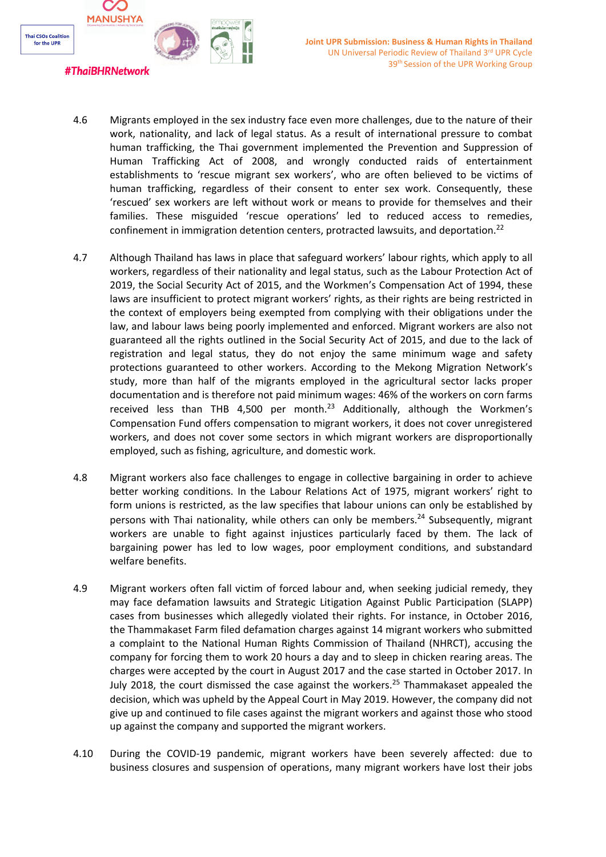

- 4.6 Migrants employed in the sex industry face even more challenges, due to the nature of their work, nationality, and lack of legal status. As <sup>a</sup> result of international pressure to combat human trafficking, the Thai government implemented the Prevention and Suppression of Human Trafficking Act of 2008, and wrongly conducted raids of entertainment establishments to 'rescue migrant sex workers', who are often believed to be victims of human trafficking, regardless of their consent to enter sex work. Consequently, these 'rescued' sex workers are left without work or means to provide for themselves and their families. These misguided 'rescue operations' led to reduced access to remedies, confinement in immigration detention centers, protracted lawsuits, and deportation.<sup>22</sup>
- 4.7 Although Thailand has laws in place that safeguard workers' labour rights, which apply to all workers, regardless of their nationality and legal status, such as the Labour Protection Act of 2019, the Social Security Act of 2015, and the Workmen'<sup>s</sup> Compensation Act of 1994, these laws are insufficient to protect migrant workers' rights, as their rights are being restricted in the context of employers being exempted from complying with their obligations under the law, and labour laws being poorly implemented and enforced. Migrant workers are also not guaranteed all the rights outlined in the Social Security Act of 2015, and due to the lack of registration and legal status, they do not enjoy the same minimum wage and safety protections guaranteed to other workers. According to the Mekong Migration Network'<sup>s</sup> study, more than half of the migrants employed in the agricultural sector lacks proper documentation and is therefore not paid minimum wages: 46% of the workers on corn farms received less than THB 4,500 per month.<sup>23</sup> Additionally, although the Workmen's Compensation Fund offers compensation to migrant workers, it does not cover unregistered workers, and does not cover some sectors in which migrant workers are disproportionally employed, such as fishing, agriculture, and domestic work.
- 4.8 Migrant workers also face challenges to engage in collective bargaining in order to achieve better working conditions. In the Labour Relations Act of 1975, migrant workers' right to form unions is restricted, as the law specifies that labour unions can only be established by persons with Thai nationality, while others can only be members.<sup>24</sup> Subsequently, migrant workers are unable to fight against injustices particularly faced by them. The lack of bargaining power has led to low wages, poor employment conditions, and substandard welfare benefits.
- 4.9 Migrant workers often fall victim of forced labour and, when seeking judicial remedy, they may face defamation lawsuits and Strategic Litigation Against Public Participation (SLAPP) cases from businesses which allegedly violated their rights. For instance, in October 2016, the Thammakaset Farm filed defamation charges against 14 migrant workers who submitted <sup>a</sup> complaint to the National Human Rights Commission of Thailand (NHRCT), accusing the company for forcing them to work 20 hours <sup>a</sup> day and to sleep in chicken rearing areas. The charges were accepted by the court in August 2017 and the case started in October 2017. In July 2018, the court dismissed the case against the workers.<sup>25</sup> Thammakaset appealed the decision, which was upheld by the Appeal Court in May 2019. However, the company did not give up and continued to file cases against the migrant workers and against those who stood up against the company and supported the migrant workers.
- 4.10 During the COVID-19 pandemic, migrant workers have been severely affected: due to business closures and suspension of operations, many migrant workers have lost their jobs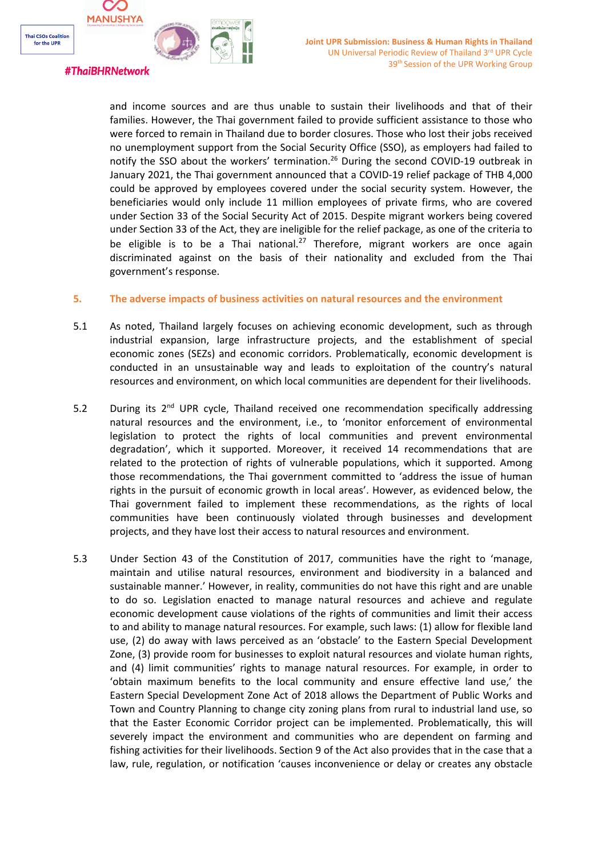

## #ThaiBHRNetwork

and income sources and are thus unable to sustain their livelihoods and that of their families. However, the Thai government failed to provide sufficient assistance to those who were forced to remain in Thailand due to border closures. Those who lost their jobs received no unemployment support from the Social Security Office (SSO), as employers had failed to notify the SSO about the workers' termination.<sup>26</sup> During the second COVID-19 outbreak in January 2021, the Thai government announced that <sup>a</sup> COVID-19 relief package of THB 4,000 could be approved by employees covered under the social security system. However, the beneficiaries would only include 11 million employees of private firms, who are covered under Section 33 of the Social Security Act of 2015. Despite migrant workers being covered under Section 33 of the Act, they are ineligible for the relief package, as one of the criteria to be eligible is to be a Thai national.<sup>27</sup> Therefore, migrant workers are once again discriminated against on the basis of their nationality and excluded from the Thai government'<sup>s</sup> response.

### **5. The adverse impacts of business activities on natural resources and the environment**

- 5.1 As noted, Thailand largely focuses on achieving economic development, such as through industrial expansion, large infrastructure projects, and the establishment of special economic zones (SEZs) and economic corridors. Problematically, economic development is conducted in an unsustainable way and leads to exploitation of the country'<sup>s</sup> natural resources and environment, on which local communities are dependent for their livelihoods.
- 5.2 During its 2<sup>nd</sup> UPR cycle, Thailand received one recommendation specifically addressing natural resources and the environment, i.e., to 'monitor enforcement of environmental legislation to protect the rights of local communities and prevent environmental degradation', which it supported. Moreover, it received 14 recommendations that are related to the protection of rights of vulnerable populations, which it supported. Among those recommendations, the Thai government committed to 'address the issue of human rights in the pursuit of economic growth in local areas'. However, as evidenced below, the Thai government failed to implement these recommendations, as the rights of local communities have been continuously violated through businesses and development projects, and they have lost their access to natural resources and environment.
- 5.3 Under Section 43 of the Constitution of 2017, communities have the right to 'manage, maintain and utilise natural resources, environment and biodiversity in <sup>a</sup> balanced and sustainable manner.' However, in reality, communities do not have this right and are unable to do so. Legislation enacted to manage natural resources and achieve and regulate economic development cause violations of the rights of communities and limit their access to and ability to manage natural resources. For example, such laws: (1) allow for flexible land use, (2) do away with laws perceived as an 'obstacle' to the Eastern Special Development Zone, (3) provide room for businesses to exploit natural resources and violate human rights, and (4) limit communities' rights to manage natural resources. For example, in order to 'obtain maximum benefits to the local community and ensure effective land use,' the Eastern Special Development Zone Act of 2018 allows the Department of Public Works and Town and Country Planning to change city zoning plans from rural to industrial land use, so that the Easter Economic Corridor project can be implemented. Problematically, this will severely impact the environment and communities who are dependent on farming and fishing activities for their livelihoods. Section 9 of the Act also provides that in the case that <sup>a</sup> law, rule, regulation, or notification 'causes inconvenience or delay or creates any obstacle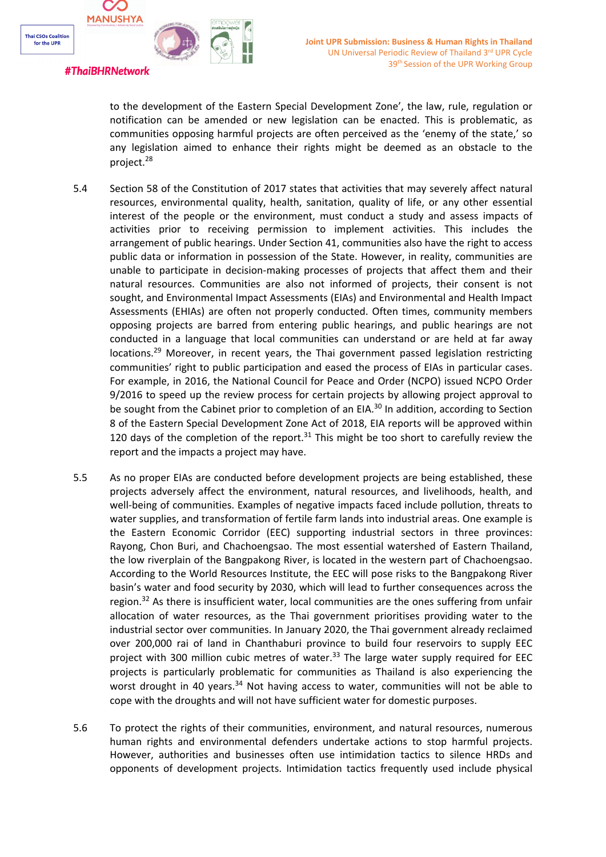

to the development of the Eastern Special Development Zone', the law, rule, regulation or notification can be amended or new legislation can be enacted. This is problematic, as communities opposing harmful projects are often perceived as the 'enemy of the state,' so any legislation aimed to enhance their rights might be deemed as an obstacle to the project.<sup>28</sup>

- 5.4 Section 58 of the Constitution of 2017 states that activities that may severely affect natural resources, environmental quality, health, sanitation, quality of life, or any other essential interest of the people or the environment, must conduct <sup>a</sup> study and assess impacts of activities prior to receiving permission to implement activities. This includes the arrangement of public hearings. Under Section 41, communities also have the right to access public data or information in possession of the State. However, in reality, communities are unable to participate in decision-making processes of projects that affect them and their natural resources. Communities are also not informed of projects, their consent is not sought, and Environmental Impact Assessments (EIAs) and Environmental and Health Impact Assessments (EHIAs) are often not properly conducted. Often times, community members opposing projects are barred from entering public hearings, and public hearings are not conducted in <sup>a</sup> language that local communities can understand or are held at far away locations.<sup>29</sup> Moreover, in recent years, the Thai government passed legislation restricting communities' right to public participation and eased the process of EIAs in particular cases. For example, in 2016, the National Council for Peace and Order (NCPO) issued NCPO Order 9/2016 to speed up the review process for certain projects by allowing project approval to be sought from the Cabinet prior to completion of an EIA.<sup>30</sup> In addition, according to Section 8 of the Eastern Special Development Zone Act of 2018, EIA reports will be approved within 120 days of the completion of the report. $^{31}$  This might be too short to carefully review the report and the impacts <sup>a</sup> project may have.
- 5.5 As no proper EIAs are conducted before development projects are being established, these projects adversely affect the environment, natural resources, and livelihoods, health, and well-being of communities. Examples of negative impacts faced include pollution, threats to water supplies, and transformation of fertile farm lands into industrial areas. One example is the Eastern Economic Corridor (EEC) supporting industrial sectors in three provinces: Rayong, Chon Buri, and Chachoengsao. The most essential watershed of Eastern Thailand, the low riverplain of the Bangpakong River, is located in the western part of Chachoengsao. According to the World Resources Institute, the EEC will pose risks to the Bangpakong River basin'<sup>s</sup> water and food security by 2030, which will lead to further consequences across the region.<sup>32</sup> As there is insufficient water, local communities are the ones suffering from unfair allocation of water resources, as the Thai government prioritises providing water to the industrial sector over communities. In January 2020, the Thai government already reclaimed over 200,000 rai of land in Chanthaburi province to build four reservoirs to supply EEC project with 300 million cubic metres of water.<sup>33</sup> The large water supply required for EEC projects is particularly problematic for communities as Thailand is also experiencing the worst drought in 40 years.<sup>34</sup> Not having access to water, communities will not be able to cope with the droughts and will not have sufficient water for domestic purposes.
- 5.6 To protect the rights of their communities, environment, and natural resources, numerous human rights and environmental defenders undertake actions to stop harmful projects. However, authorities and businesses often use intimidation tactics to silence HRDs and opponents of development projects. Intimidation tactics frequently used include physical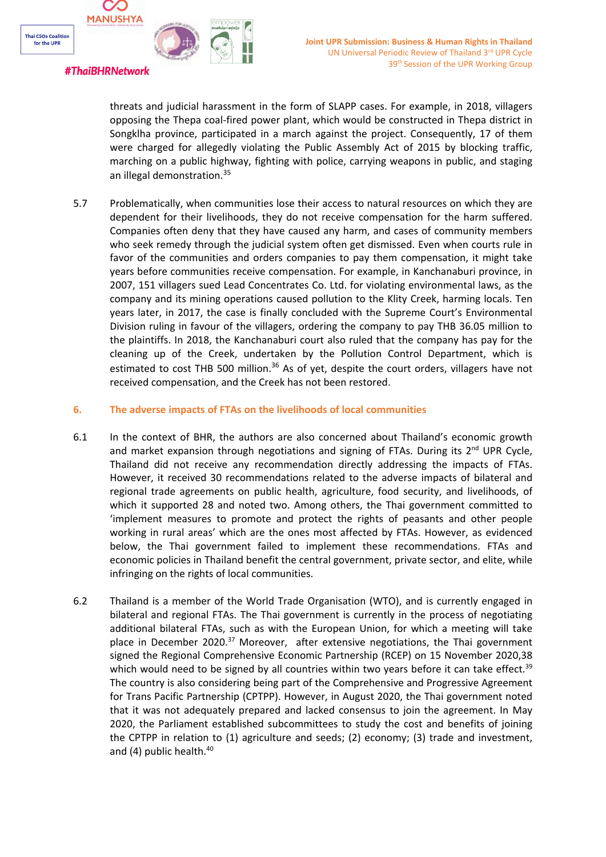

threats and judicial harassment in the form of SLAPP cases. For example, in 2018, villagers opposing the Thepa coal-fired power plant, which would be constructed in Thepa district in Songklha province, participated in <sup>a</sup> march against the project. Consequently, 17 of them were charged for allegedly violating the Public Assembly Act of 2015 by blocking traffic, marching on <sup>a</sup> public highway, fighting with police, carrying weapons in public, and staging an illegal demonstration.<sup>35</sup>

5.7 Problematically, when communities lose their access to natural resources on which they are dependent for their livelihoods, they do not receive compensation for the harm suffered. Companies often deny that they have caused any harm, and cases of community members who seek remedy through the judicial system often get dismissed. Even when courts rule in favor of the communities and orders companies to pay them compensation, it might take years before communities receive compensation. For example, in Kanchanaburi province, in 2007, 151 villagers sued Lead Concentrates Co. Ltd. for violating environmental laws, as the company and its mining operations caused pollution to the Klity Creek, harming locals. Ten years later, in 2017, the case is finally concluded with the Supreme Court'<sup>s</sup> Environmental Division ruling in favour of the villagers, ordering the company to pay THB 36.05 million to the plaintiffs. In 2018, the Kanchanaburi court also ruled that the company has pay for the cleaning up of the Creek, undertaken by the Pollution Control Department, which is estimated to cost THB 500 million.<sup>36</sup> As of yet, despite the court orders, villagers have not received compensation, and the Creek has not been restored.

### **6. The adverse impacts of FTAs on the livelihoods of local communities**

- 6.1 In the context of BHR, the authors are also concerned about Thailand'<sup>s</sup> economic growth and market expansion through negotiations and signing of FTAs. During its 2<sup>nd</sup> UPR Cycle, Thailand did not receive any recommendation directly addressing the impacts of FTAs. However, it received 30 recommendations related to the adverse impacts of bilateral and regional trade agreements on public health, agriculture, food security, and livelihoods, of which it supported 28 and noted two. Among others, the Thai government committed to 'implement measures to promote and protect the rights of peasants and other people working in rural areas' which are the ones most affected by FTAs. However, as evidenced below, the Thai government failed to implement these recommendations. FTAs and economic policies in Thailand benefit the central government, private sector, and elite, while infringing on the rights of local communities.
- 6.2 Thailand is <sup>a</sup> member of the World Trade Organisation (WTO), and is currently engaged in bilateral and regional FTAs. The Thai government is currently in the process of negotiating additional bilateral FTAs, such as with the European Union, for which <sup>a</sup> meeting will take place in December 2020.<sup>37</sup> Moreover, after extensive negotiations, the Thai government signed the Regional Comprehensive Economic Partnership (RCEP) on 15 November 2020,38 which would need to be signed by all countries within two years before it can take effect.<sup>39</sup> The country is also considering being part of the Comprehensive and Progressive Agreement for Trans Pacific Partnership (CPTPP). However, in August 2020, the Thai government noted that it was not adequately prepared and lacked consensus to join the agreement. In May 2020, the Parliament established subcommittees to study the cost and benefits of joining the CPTPP in relation to (1) agriculture and seeds; (2) economy; (3) trade and investment, and (4) public health.<sup>40</sup>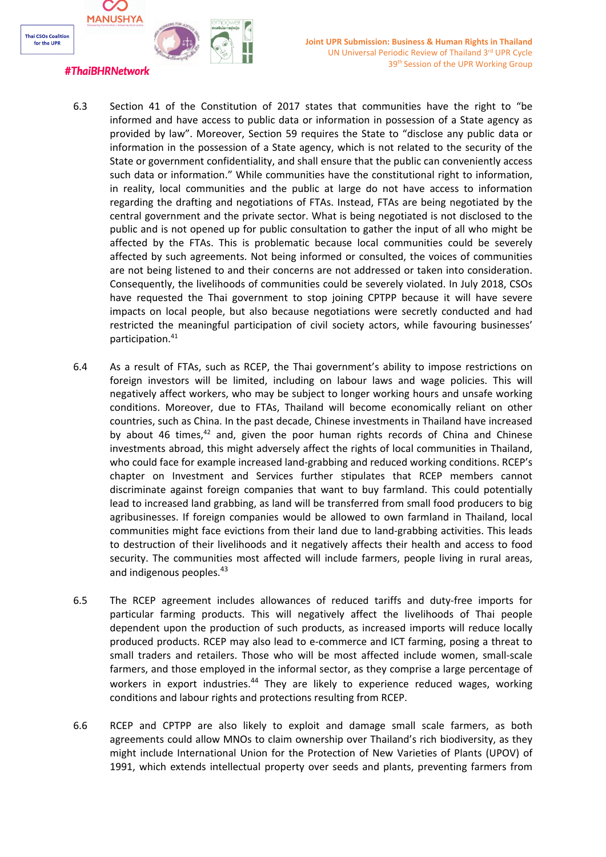

- 6.3 Section 41 of the Constitution of 2017 states that communities have the right to "be informed and have access to public data or information in possession of <sup>a</sup> State agency as provided by law". Moreover, Section 59 requires the State to "disclose any public data or information in the possession of <sup>a</sup> State agency, which is not related to the security of the State or government confidentiality, and shall ensure that the public can conveniently access such data or information." While communities have the constitutional right to information, in reality, local communities and the public at large do not have access to information regarding the drafting and negotiations of FTAs. Instead, FTAs are being negotiated by the central government and the private sector. What is being negotiated is not disclosed to the public and is not opened up for public consultation to gather the input of all who might be affected by the FTAs. This is problematic because local communities could be severely affected by such agreements. Not being informed or consulted, the voices of communities are not being listened to and their concerns are not addressed or taken into consideration. Consequently, the livelihoods of communities could be severely violated. In July 2018, CSOs have requested the Thai government to stop joining CPTPP because it will have severe impacts on local people, but also because negotiations were secretly conducted and had restricted the meaningful participation of civil society actors, while favouring businesses' participation. 41
	- 6.4 As <sup>a</sup> result of FTAs, such as RCEP, the Thai government'<sup>s</sup> ability to impose restrictions on foreign investors will be limited, including on labour laws and wage policies. This will negatively affect workers, who may be subject to longer working hours and unsafe working conditions. Moreover, due to FTAs, Thailand will become economically reliant on other countries, such as China. In the past decade, Chinese investments in Thailand have increased by about 46 times,<sup>42</sup> and, given the poor human rights records of China and Chinese investments abroad, this might adversely affect the rights of local communities in Thailand, who could face for example increased land-grabbing and reduced working conditions. RCEP'<sup>s</sup> chapter on Investment and Services further stipulates that RCEP members cannot discriminate against foreign companies that want to buy farmland. This could potentially lead to increased land grabbing, as land will be transferred from small food producers to big agribusinesses. If foreign companies would be allowed to own farmland in Thailand, local communities might face evictions from their land due to land-grabbing activities. This leads to destruction of their livelihoods and it negatively affects their health and access to food security. The communities most affected will include farmers, people living in rural areas, and indigenous peoples.<sup>43</sup>
	- 6.5 The RCEP agreement includes allowances of reduced tariffs and duty-free imports for particular farming products. This will negatively affect the livelihoods of Thai people dependent upon the production of such products, as increased imports will reduce locally produced products. RCEP may also lead to e-commerce and ICT farming, posing <sup>a</sup> threat to small traders and retailers. Those who will be most affected include women, small-scale farmers, and those employed in the informal sector, as they comprise <sup>a</sup> large percentage of workers in export industries.<sup>44</sup> They are likely to experience reduced wages, working conditions and labour rights and protections resulting from RCEP.
	- 6.6 RCEP and CPTPP are also likely to exploit and damage small scale farmers, as both agreements could allow MNOs to claim ownership over Thailand'<sup>s</sup> rich biodiversity, as they might include International Union for the Protection of New Varieties of Plants (UPOV) of 1991, which extends intellectual property over seeds and plants, preventing farmers from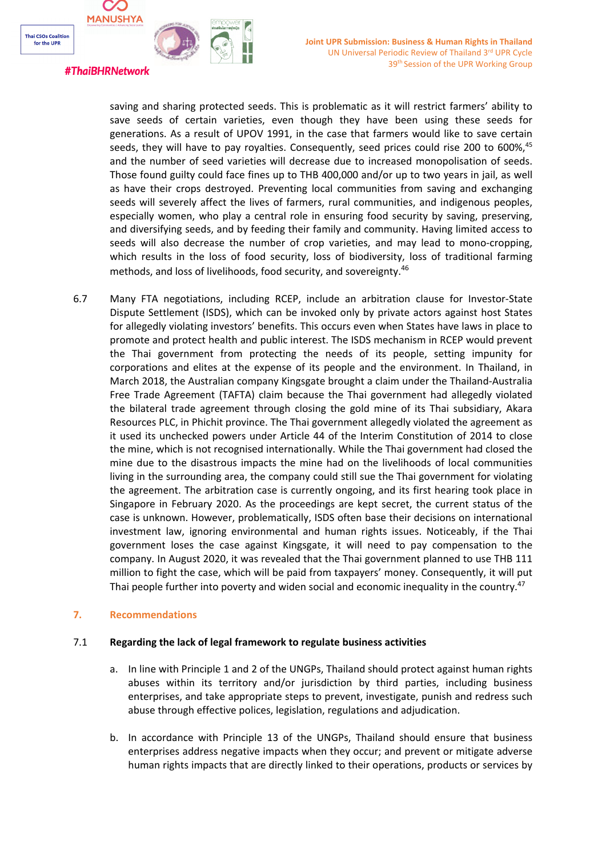

#### #ThaiBHRNetwork

saving and sharing protected seeds. This is problematic as it will restrict farmers' ability to save seeds of certain varieties, even though they have been using these seeds for generations. As <sup>a</sup> result of UPOV 1991, in the case that farmers would like to save certain seeds, they will have to pay royalties. Consequently, seed prices could rise 200 to 600%, 45 and the number of seed varieties will decrease due to increased monopolisation of seeds. Those found guilty could face fines up to THB 400,000 and/or up to two years in jail, as well as have their crops destroyed. Preventing local communities from saving and exchanging seeds will severely affect the lives of farmers, rural communities, and indigenous peoples, especially women, who play <sup>a</sup> central role in ensuring food security by saving, preserving, and diversifying seeds, and by feeding their family and community. Having limited access to seeds will also decrease the number of crop varieties, and may lead to mono-cropping, which results in the loss of food security, loss of biodiversity, loss of traditional farming methods, and loss of livelihoods, food security, and sovereignty.<sup>46</sup>

6.7 Many FTA negotiations, including RCEP, include an arbitration clause for Investor-State Dispute Settlement (ISDS), which can be invoked only by private actors against host States for allegedly violating investors' benefits. This occurs even when States have laws in place to promote and protect health and public interest. The ISDS mechanism in RCEP would prevent the Thai government from protecting the needs of its people, setting impunity for corporations and elites at the expense of its people and the environment. In Thailand, in March 2018, the Australian company Kingsgate brought <sup>a</sup> claim under the Thailand-Australia Free Trade Agreement (TAFTA) claim because the Thai government had allegedly violated the bilateral trade agreement through closing the gold mine of its Thai subsidiary, Akara Resources PLC, in Phichit province. The Thai government allegedly violated the agreement as it used its unchecked powers under Article 44 of the Interim Constitution of 2014 to close the mine, which is not recognised internationally. While the Thai government had closed the mine due to the disastrous impacts the mine had on the livelihoods of local communities living in the surrounding area, the company could still sue the Thai government for violating the agreement. The arbitration case is currently ongoing, and its first hearing took place in Singapore in February 2020. As the proceedings are kept secret, the current status of the case is unknown. However, problematically, ISDS often base their decisions on international investment law, ignoring environmental and human rights issues. Noticeably, if the Thai government loses the case against Kingsgate, it will need to pay compensation to the company. In August 2020, it was revealed that the Thai government planned to use THB 111 million to fight the case, which will be paid from taxpayers' money. Consequently, it will put Thai people further into poverty and widen social and economic inequality in the country.<sup>47</sup>

## **7. Recommendations**

## 7.1 **Regarding the lack of legal framework to regulate business activities**

- a. In line with Principle 1 and 2 of the UNGPs, Thailand should protect against human rights abuses within its territory and/or jurisdiction by third parties, including business enterprises, and take appropriate steps to prevent, investigate, punish and redress such abuse through effective polices, legislation, regulations and adjudication.
- b. In accordance with Principle 13 of the UNGPs, Thailand should ensure that business enterprises address negative impacts when they occur; and prevent or mitigate adverse human rights impacts that are directly linked to their operations, products or services by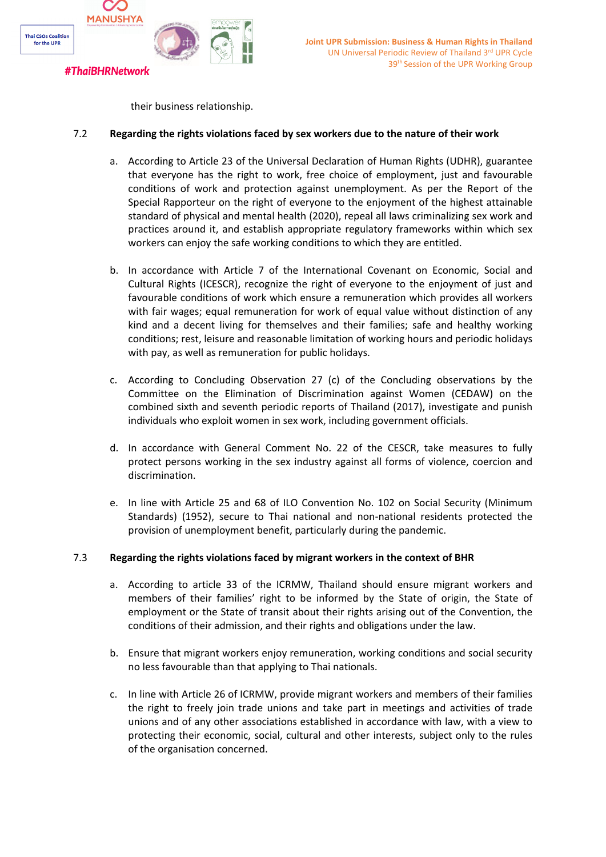

their business relationship.

## 7.2 **Regarding the rights violations faced by sex workers due to the nature of their work**

- a. According to Article 23 of the Universal Declaration of Human Rights (UDHR), guarantee that everyone has the right to work, free choice of employment, just and favourable conditions of work and protection against unemployment. As per the Report of the Special Rapporteur on the right of everyone to the enjoyment of the highest attainable standard of physical and mental health (2020), repeal all laws criminalizing sex work and practices around it, and establish appropriate regulatory frameworks within which sex workers can enjoy the safe working conditions to which they are entitled.
- b. In accordance with Article 7 of the International Covenant on Economic, Social and Cultural Rights (ICESCR), recognize the right of everyone to the enjoyment of just and favourable conditions of work which ensure <sup>a</sup> remuneration which provides all workers with fair wages; equal remuneration for work of equal value without distinction of any kind and <sup>a</sup> decent living for themselves and their families; safe and healthy working conditions; rest, leisure and reasonable limitation of working hours and periodic holidays with pay, as well as remuneration for public holidays.
- c. According to Concluding Observation 27 (c) of the Concluding observations by the Committee on the Elimination of Discrimination against Women (CEDAW) on the combined sixth and seventh periodic reports of Thailand (2017), investigate and punish individuals who exploit women in sex work, including government officials.
- d. In accordance with General Comment No. 22 of the CESCR, take measures to fully protect persons working in the sex industry against all forms of violence, coercion and discrimination.
- e. In line with Article 25 and 68 of ILO Convention No. 102 on Social Security (Minimum Standards) (1952), secure to Thai national and non-national residents protected the provision of unemployment benefit, particularly during the pandemic.

## 7.3 **Regarding the rights violations faced by migrant workers in the context of BHR**

- a. According to article 33 of the ICRMW, Thailand should ensure migrant workers and members of their families' right to be informed by the State of origin, the State of employment or the State of transit about their rights arising out of the Convention, the conditions of their admission, and their rights and obligations under the law.
- b. Ensure that migrant workers enjoy remuneration, working conditions and social security no less favourable than that applying to Thai nationals.
- c. In line with Article 26 of ICRMW, provide migrant workers and members of their families the right to freely join trade unions and take part in meetings and activities of trade unions and of any other associations established in accordance with law, with <sup>a</sup> view to protecting their economic, social, cultural and other interests, subject only to the rules of the organisation concerned.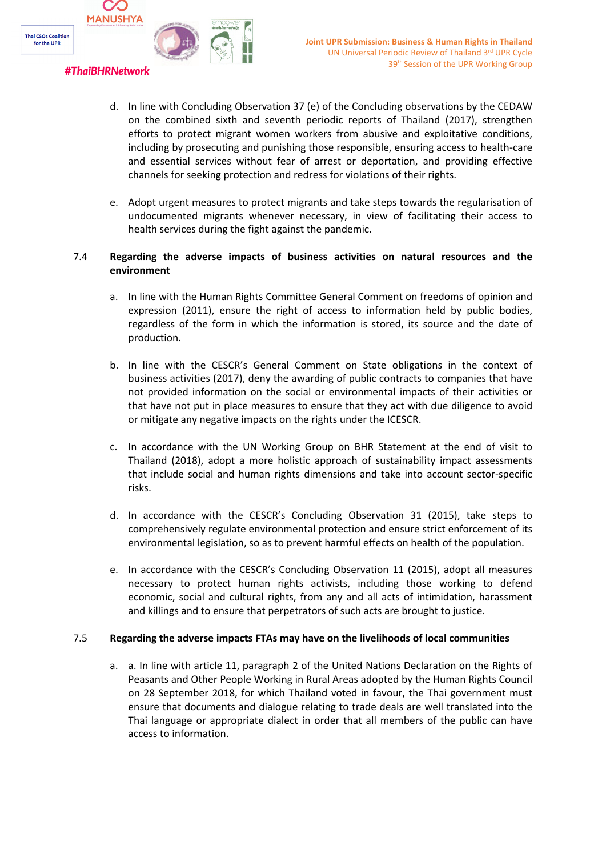

## d. In line with Concluding Observation 37 (e) of the Concluding observations by the CEDAW on the combined sixth and seventh periodic reports of Thailand (2017), strengthen efforts to protect migrant women workers from abusive and exploitative conditions, including by prosecuting and punishing those responsible, ensuring access to health-care and essential services without fear of arrest or deportation, and providing effective channels for seeking protection and redress for violations of their rights.

e. Adopt urgent measures to protect migrants and take steps towards the regularisation of undocumented migrants whenever necessary, in view of facilitating their access to health services during the fight against the pandemic.

## 7.4 **Regarding the adverse impacts of business activities on natural resources and the environment**

- a. In line with the Human Rights Committee General Comment on freedoms of opinion and expression (2011), ensure the right of access to information held by public bodies, regardless of the form in which the information is stored, its source and the date of production.
- b. In line with the CESCR'<sup>s</sup> General Comment on State obligations in the context of business activities (2017), deny the awarding of public contracts to companies that have not provided information on the social or environmental impacts of their activities or that have not put in place measures to ensure that they act with due diligence to avoid or mitigate any negative impacts on the rights under the ICESCR.
- c. In accordance with the UN Working Group on BHR Statement at the end of visit to Thailand (2018), adopt <sup>a</sup> more holistic approach of sustainability impact assessments that include social and human rights dimensions and take into account sector-specific risks.
- d. In accordance with the CESCR'<sup>s</sup> Concluding Observation 31 (2015), take steps to comprehensively regulate environmental protection and ensure strict enforcement of its environmental legislation, so as to prevent harmful effects on health of the population.
- e. In accordance with the CESCR'<sup>s</sup> Concluding Observation 11 (2015), adopt all measures necessary to protect human rights activists, including those working to defend economic, social and cultural rights, from any and all acts of intimidation, harassment and killings and to ensure that perpetrators of such acts are brought to justice.

## 7.5 **Regarding the adverse impacts FTAs may have on the livelihoods of local communities**

a. a. In line with article 11, paragraph 2 of the United Nations Declaration on the Rights of Peasants and Other People Working in Rural Areas adopted by the Human Rights Council on 28 September 2018, for which Thailand voted in favour, the Thai government must ensure that documents and dialogue relating to trade deals are well translated into the Thai language or appropriate dialect in order that all members of the public can have access to information.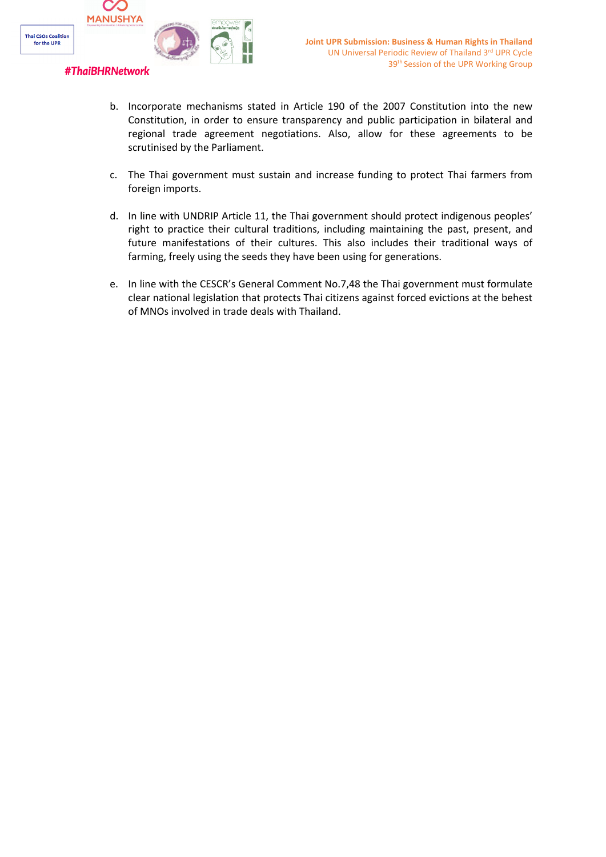

- b. Incorporate mechanisms stated in Article 190 of the 2007 Constitution into the new Constitution, in order to ensure transparency and public participation in bilateral and regional trade agreement negotiations. Also, allow for these agreements to be scrutinised by the Parliament.
- c. The Thai government must sustain and increase funding to protect Thai farmers from foreign imports.
- d. In line with UNDRIP Article 11, the Thai government should protect indigenous peoples' right to practice their cultural traditions, including maintaining the past, present, and future manifestations of their cultures. This also includes their traditional ways of farming, freely using the seeds they have been using for generations.
- e. In line with the CESCR'<sup>s</sup> General Comment No.7,48 the Thai government must formulate clear national legislation that protects Thai citizens against forced evictions at the behest of MNOs involved in trade deals with Thailand.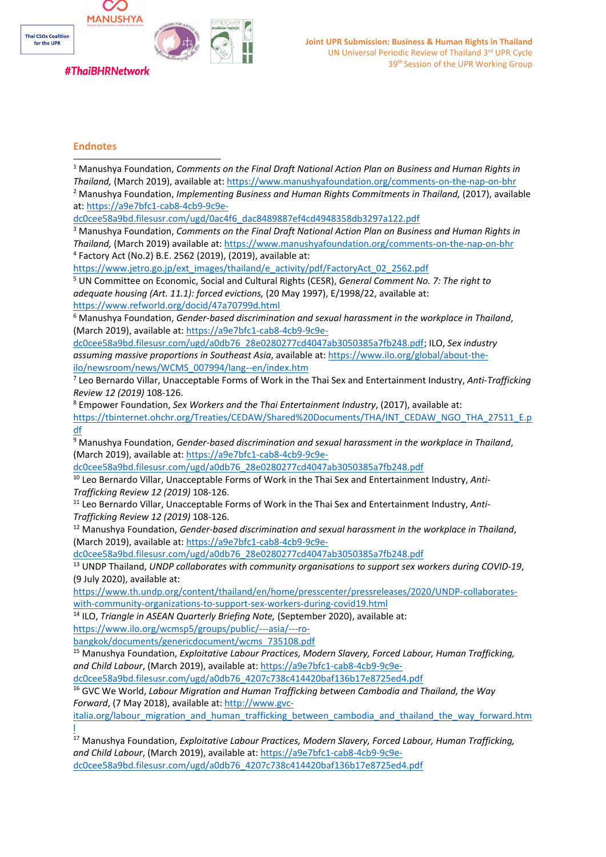

## **Endnotes**

| <sup>1</sup> Manushya Foundation, Comments on the Final Draft National Action Plan on Business and Human Rights in         |
|----------------------------------------------------------------------------------------------------------------------------|
| Thailand, (March 2019), available at: https://www.manushyafoundation.org/comments-on-the-nap-on-bhr                        |
| <sup>2</sup> Manushya Foundation, <i>Implementing Business and Human Rights Commitments in Thailand, (2017), available</i> |
| at: https://a9e7bfc1-cab8-4cb9-9c9e-                                                                                       |
| dc0cee58a9bd.filesusr.com/ugd/0ac4f6_dac8489887ef4cd4948358db3297a122.pdf                                                  |
| <sup>3</sup> Manushya Foundation, Comments on the Final Draft National Action Plan on Business and Human Rights in         |
| Thailand, (March 2019) available at: https://www.manushyafoundation.org/comments-on-the-nap-on-bhr                         |
| <sup>4</sup> Factory Act (No.2) B.E. 2562 (2019), (2019), available at:                                                    |
| https://www.jetro.go.jp/ext_images/thailand/e_activity/pdf/FactoryAct_02_2562.pdf                                          |

5 UN Committee on Economic, Social and Cultural Rights (CESR), *General Comment No. 7: The right to adequate housing (Art. 11.1): forced evictions,* (20 May 1997), E/1998/22, available at: <https://www.refworld.org/docid/47a70799d.html>

<sup>6</sup> Manushya Foundation, *Gender-based discrimination and sexual harassment in the workplace in Thailand*, (March 2019), available at: [https://a9e7bfc1-cab8-4cb9-9c9e-](https://a9e7bfc1-cab8-4cb9-9c9e-dc0cee58a9bd.filesusr.com/ugd/a0db76_28e0280277cd4047ab3050385a7fb248.pdf)

[dc0cee58a9bd.filesusr.com/ugd/a0db76\\_28e0280277cd4047ab3050385a7fb248.pdf](https://a9e7bfc1-cab8-4cb9-9c9e-dc0cee58a9bd.filesusr.com/ugd/a0db76_28e0280277cd4047ab3050385a7fb248.pdf); ILO, *Sex industry assuming massive proportions in Southeast Asia*, available at: [https://www.ilo.org/global/about-the](https://www.ilo.org/global/about-the-ilo/newsroom/news/WCMS_007994/lang--en/index.htm)[ilo/newsroom/news/WCMS\\_007994/lang--en/index.htm](https://www.ilo.org/global/about-the-ilo/newsroom/news/WCMS_007994/lang--en/index.htm)

7 Leo Bernardo Villar, Unacceptable Forms of Work in the Thai Sex and Entertainment Industry, *Anti-Trafficking Review 12 (2019)* 108-126.

8 Empower Foundation, *Sex Workers and the Thai Entertainment Industry*, (2017), available at: [https://tbinternet.ohchr.org/Treaties/CEDAW/Shared%20Documents/THA/INT\\_CEDAW\\_NGO\\_THA\\_27511\\_E.p](https://tbinternet.ohchr.org/Treaties/CEDAW/Shared%20Documents/THA/INT_CEDAW_NGO_THA_27511_E.pdf) [df](https://tbinternet.ohchr.org/Treaties/CEDAW/Shared%20Documents/THA/INT_CEDAW_NGO_THA_27511_E.pdf)

<sup>9</sup> Manushya Foundation, *Gender-based discrimination and sexual harassment in the workplace in Thailand*, (March 2019), available at: [https://a9e7bfc1-cab8-4cb9-9c9e-](https://a9e7bfc1-cab8-4cb9-9c9e-dc0cee58a9bd.filesusr.com/ugd/a0db76_28e0280277cd4047ab3050385a7fb248.pdf)

[dc0cee58a9bd.filesusr.com/ugd/a0db76\\_28e0280277cd4047ab3050385a7fb248.pdf](https://a9e7bfc1-cab8-4cb9-9c9e-dc0cee58a9bd.filesusr.com/ugd/a0db76_28e0280277cd4047ab3050385a7fb248.pdf)

10 Leo Bernardo Villar, Unacceptable Forms of Work in the Thai Sex and Entertainment Industry, *Anti-Trafficking Review 12 (2019)* 108-126.

11 Leo Bernardo Villar, Unacceptable Forms of Work in the Thai Sex and Entertainment Industry, *Anti-Trafficking Review 12 (2019)* 108-126.

<sup>12</sup> Manushya Foundation, *Gender-based discrimination and sexual harassment in the workplace in Thailand*, (March 2019), available at: [https://a9e7bfc1-cab8-4cb9-9c9e-](https://a9e7bfc1-cab8-4cb9-9c9e-dc0cee58a9bd.filesusr.com/ugd/a0db76_28e0280277cd4047ab3050385a7fb248.pdf)

[dc0cee58a9bd.filesusr.com/ugd/a0db76\\_28e0280277cd4047ab3050385a7fb248.pdf](https://a9e7bfc1-cab8-4cb9-9c9e-dc0cee58a9bd.filesusr.com/ugd/a0db76_28e0280277cd4047ab3050385a7fb248.pdf)

13 UNDP Thailand, *UNDP collaborates with community organisations to support sex workers during COVID-19*, (9 July 2020), available at:

[https://www.th.undp.org/content/thailand/en/home/presscenter/pressreleases/2020/UNDP-collaborates](https://www.th.undp.org/content/thailand/en/home/presscenter/pressreleases/2020/UNDP-collaborates-with-community-organizations-to-support-sex-workers-during-covid19.html)[with-community-organizations-to-support-sex-workers-during-covid19.html](https://www.th.undp.org/content/thailand/en/home/presscenter/pressreleases/2020/UNDP-collaborates-with-community-organizations-to-support-sex-workers-during-covid19.html)

14 ILO, *Triangle in ASEAN Quarterly Briefing Note,* (September 2020), available at: [https://www.ilo.org/wcmsp5/groups/public/---asia/---ro-](https://www.ilo.org/wcmsp5/groups/public/---asia/---ro-bangkok/documents/genericdocument/wcms_735108.pdf)

[bangkok/documents/genericdocument/wcms\\_735108.pdf](https://www.ilo.org/wcmsp5/groups/public/---asia/---ro-bangkok/documents/genericdocument/wcms_735108.pdf)

<sup>15</sup> Manushya Foundation, *Exploitative Labour Practices, Modern Slavery, Forced Labour, Human Trafficking, and Child Labour*, (March 2019), available at: [https://a9e7bfc1-cab8-4cb9-9c9e-](https://a9e7bfc1-cab8-4cb9-9c9e-dc0cee58a9bd.filesusr.com/ugd/a0db76_4207c738c414420baf136b17e8725ed4.pdf)

[dc0cee58a9bd.filesusr.com/ugd/a0db76\\_4207c738c414420baf136b17e8725ed4.pdf](https://a9e7bfc1-cab8-4cb9-9c9e-dc0cee58a9bd.filesusr.com/ugd/a0db76_4207c738c414420baf136b17e8725ed4.pdf)

16 GVC We World, *Labour Migration and Human Trafficking between Cambodia and Thailand, the Way Forward*, (7 May 2018), available at: [http://www.gvc-](http://www.gvc-italia.org/labour_migration_and_human_trafficking_between_cambodia_and_thailand_the_way_forward.html)

[italia.org/labour\\_migration\\_and\\_human\\_trafficking\\_between\\_cambodia\\_and\\_thailand\\_the\\_way\\_forward.htm](http://www.gvc-italia.org/labour_migration_and_human_trafficking_between_cambodia_and_thailand_the_way_forward.html) [l](http://www.gvc-italia.org/labour_migration_and_human_trafficking_between_cambodia_and_thailand_the_way_forward.html)

<sup>17</sup> Manushya Foundation, *Exploitative Labour Practices, Modern Slavery, Forced Labour, Human Trafficking, and Child Labour*, (March 2019), available at: [https://a9e7bfc1-cab8-4cb9-9c9e](https://a9e7bfc1-cab8-4cb9-9c9e-dc0cee58a9bd.filesusr.com/ugd/a0db76_4207c738c414420baf136b17e8725ed4.pdf)[dc0cee58a9bd.filesusr.com/ugd/a0db76\\_4207c738c414420baf136b17e8725ed4.pdf](https://a9e7bfc1-cab8-4cb9-9c9e-dc0cee58a9bd.filesusr.com/ugd/a0db76_4207c738c414420baf136b17e8725ed4.pdf)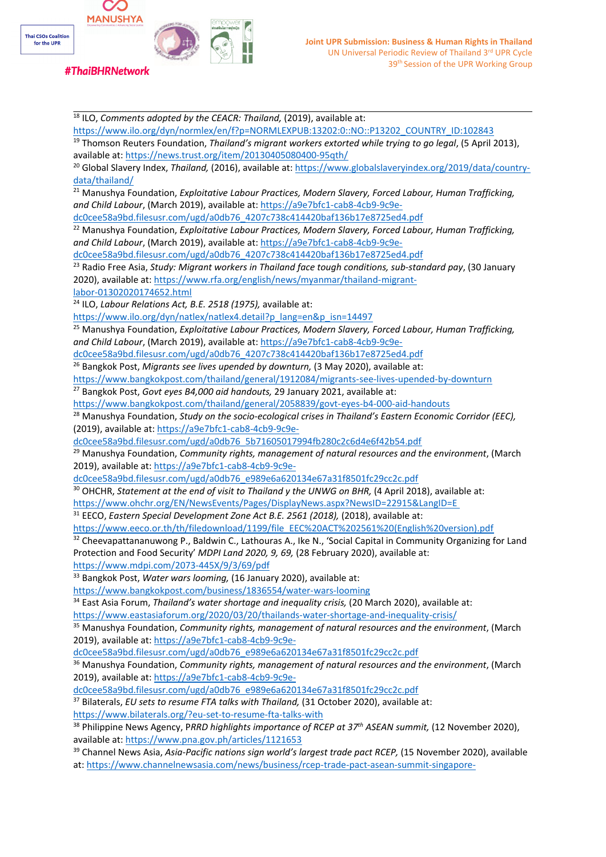

18 ILO, *Comments adopted by the CEACR: Thailand,* (2019), available at: [https://www.ilo.org/dyn/normlex/en/f?p=NORMLEXPUB:13202:0::NO::P13202\\_COUNTRY\\_ID:102843](https://www.ilo.org/dyn/normlex/en/f?p=NORMLEXPUB:13202:0::NO::P13202_COUNTRY_ID:102843) 19 Thomson Reuters Foundation, *Thailand'<sup>s</sup> migrant workers extorted while trying to go legal*, (5 April 2013), available at: <https://news.trust.org/item/20130405080400-95qth/> <sup>20</sup> Global Slavery Index, *Thailand,* (2016), available at: [https://www.globalslaveryindex.org/2019/data/country](https://www.globalslaveryindex.org/2019/data/country-data/thailand/)[data/thailand/](https://www.globalslaveryindex.org/2019/data/country-data/thailand/) <sup>21</sup> Manushya Foundation, *Exploitative Labour Practices, Modern Slavery, Forced Labour, Human Trafficking, and Child Labour*, (March 2019), available at: [https://a9e7bfc1-cab8-4cb9-9c9e](https://a9e7bfc1-cab8-4cb9-9c9e-dc0cee58a9bd.filesusr.com/ugd/a0db76_4207c738c414420baf136b17e8725ed4.pdf)[dc0cee58a9bd.filesusr.com/ugd/a0db76\\_4207c738c414420baf136b17e8725ed4.pdf](https://a9e7bfc1-cab8-4cb9-9c9e-dc0cee58a9bd.filesusr.com/ugd/a0db76_4207c738c414420baf136b17e8725ed4.pdf) <sup>22</sup> Manushya Foundation, *Exploitative Labour Practices, Modern Slavery, Forced Labour, Human Trafficking, and Child Labour*, (March 2019), available at: [https://a9e7bfc1-cab8-4cb9-9c9e](https://a9e7bfc1-cab8-4cb9-9c9e-dc0cee58a9bd.filesusr.com/ugd/a0db76_4207c738c414420baf136b17e8725ed4.pdf)[dc0cee58a9bd.filesusr.com/ugd/a0db76\\_4207c738c414420baf136b17e8725ed4.pdf](https://a9e7bfc1-cab8-4cb9-9c9e-dc0cee58a9bd.filesusr.com/ugd/a0db76_4207c738c414420baf136b17e8725ed4.pdf) 23 Radio Free Asia, *Study: Migrant workers in Thailand face tough conditions, sub-standard pay*, (30 January 2020), available at: [https://www.rfa.org/english/news/myanmar/thailand-migrant](https://www.rfa.org/english/news/myanmar/thailand-migrant-labor-01302020174652.html)[labor-01302020174652.html](https://www.rfa.org/english/news/myanmar/thailand-migrant-labor-01302020174652.html) 24 ILO, *Labour Relations Act, B.E. 2518 (1975),* available at: [https://www.ilo.org/dyn/natlex/natlex4.detail?p\\_lang=en&p\\_isn=14497](https://www.ilo.org/dyn/natlex/natlex4.detail?p_lang=en&p_isn=14497) <sup>25</sup> Manushya Foundation, *Exploitative Labour Practices, Modern Slavery, Forced Labour, Human Trafficking, and Child Labour*, (March 2019), available at: [https://a9e7bfc1-cab8-4cb9-9c9e](https://a9e7bfc1-cab8-4cb9-9c9e-dc0cee58a9bd.filesusr.com/ugd/a0db76_4207c738c414420baf136b17e8725ed4.pdf)[dc0cee58a9bd.filesusr.com/ugd/a0db76\\_4207c738c414420baf136b17e8725ed4.pdf](https://a9e7bfc1-cab8-4cb9-9c9e-dc0cee58a9bd.filesusr.com/ugd/a0db76_4207c738c414420baf136b17e8725ed4.pdf) 26 Bangkok Post, *Migrants see lives upended by downturn,* (3 May 2020), available at: <https://www.bangkokpost.com/thailand/general/1912084/migrants-see-lives-upended-by-downturn> 27 Bangkok Post, *Govt eyes B4,000 aid handouts,* 29 January 2021, available at: <https://www.bangkokpost.com/thailand/general/2058839/govt-eyes-b4-000-aid-handouts> <sup>28</sup> Manushya Foundation, *Study on the socio-ecological crises in Thailand'<sup>s</sup> Eastern Economic Corridor (EEC),* (2019), available at: [https://a9e7bfc1-cab8-4cb9-9c9e](https://a9e7bfc1-cab8-4cb9-9c9e-dc0cee58a9bd.filesusr.com/ugd/a0db76_5b71605017994fb280c2c6d4e6f42b54.pdf)[dc0cee58a9bd.filesusr.com/ugd/a0db76\\_5b71605017994fb280c2c6d4e6f42b54.pdf](https://a9e7bfc1-cab8-4cb9-9c9e-dc0cee58a9bd.filesusr.com/ugd/a0db76_5b71605017994fb280c2c6d4e6f42b54.pdf) <sup>29</sup> Manushya Foundation, *Community rights, management of natural resources and the environment*, (March 2019), available at: [https://a9e7bfc1-cab8-4cb9-9c9e](https://a9e7bfc1-cab8-4cb9-9c9e-dc0cee58a9bd.filesusr.com/ugd/a0db76_e989e6a620134e67a31f8501fc29cc2c.pdf)[dc0cee58a9bd.filesusr.com/ugd/a0db76\\_e989e6a620134e67a31f8501fc29cc2c.pdf](https://a9e7bfc1-cab8-4cb9-9c9e-dc0cee58a9bd.filesusr.com/ugd/a0db76_e989e6a620134e67a31f8501fc29cc2c.pdf) 30 OHCHR, *Statement at the end of visit to Thailand y the UNWG on BHR,* (4 April 2018), available at: <https://www.ohchr.org/EN/NewsEvents/Pages/DisplayNews.aspx?NewsID=22915&LangID=E> 31 EECO, *Eastern Special Development Zone Act B.E. 2561 (2018),* (2018), available at: [https://www.eeco.or.th/th/filedownload/1199/file\\_EEC%20ACT%202561%20\(English%20version\).pdf](https://www.eeco.or.th/th/filedownload/1199/file_EEC%20ACT%202561%20(English%20version).pdf) <sup>32</sup> Cheevapattananuwong P., Baldwin C., Lathouras A., Ike N., 'Social Capital in Community Organizing for Land Protection and Food Security' *MDPI Land 2020, 9, 69,* (28 February 2020), available at: <https://www.mdpi.com/2073-445X/9/3/69/pdf> <sup>33</sup> Bangkok Post, *Water wars looming,* (16 January 2020), available at: <https://www.bangkokpost.com/business/1836554/water-wars-looming> 34 East Asia Forum, *Thailand'<sup>s</sup> water shortage and inequality crisis,* (20 March 2020), available at: <https://www.eastasiaforum.org/2020/03/20/thailands-water-shortage-and-inequality-crisis/> <sup>35</sup> Manushya Foundation, *Community rights, management of natural resources and the environment*, (March 2019), available at: [https://a9e7bfc1-cab8-4cb9-9c9e](https://a9e7bfc1-cab8-4cb9-9c9e-dc0cee58a9bd.filesusr.com/ugd/a0db76_e989e6a620134e67a31f8501fc29cc2c.pdf)[dc0cee58a9bd.filesusr.com/ugd/a0db76\\_e989e6a620134e67a31f8501fc29cc2c.pdf](https://a9e7bfc1-cab8-4cb9-9c9e-dc0cee58a9bd.filesusr.com/ugd/a0db76_e989e6a620134e67a31f8501fc29cc2c.pdf) <sup>36</sup> Manushya Foundation, *Community rights, management of natural resources and the environment*, (March 2019), available at: [https://a9e7bfc1-cab8-4cb9-9c9e](https://a9e7bfc1-cab8-4cb9-9c9e-dc0cee58a9bd.filesusr.com/ugd/a0db76_e989e6a620134e67a31f8501fc29cc2c.pdf)[dc0cee58a9bd.filesusr.com/ugd/a0db76\\_e989e6a620134e67a31f8501fc29cc2c.pdf](https://a9e7bfc1-cab8-4cb9-9c9e-dc0cee58a9bd.filesusr.com/ugd/a0db76_e989e6a620134e67a31f8501fc29cc2c.pdf) 37 Bilaterals, *EU sets to resume FTA talks with Thailand,* (31 October 2020), available at: <https://www.bilaterals.org/?eu-set-to-resume-fta-talks-with> 38 Philippine News Agency, <sup>P</sup>*RRD highlights importance of RCEP at <sup>37</sup>th ASEAN summit,* (12 November 2020), available at: <https://www.pna.gov.ph/articles/1121653>

39 Channel News Asia, *Asia-Pacific nations sign world'<sup>s</sup> largest trade pact RCEP,* (15 November 2020), available at: [https://www.channelnewsasia.com/news/business/rcep-trade-pact-asean-summit-singapore-](https://www.channelnewsasia.com/news/business/rcep-trade-pact-asean-summit-singapore-china-13534960)